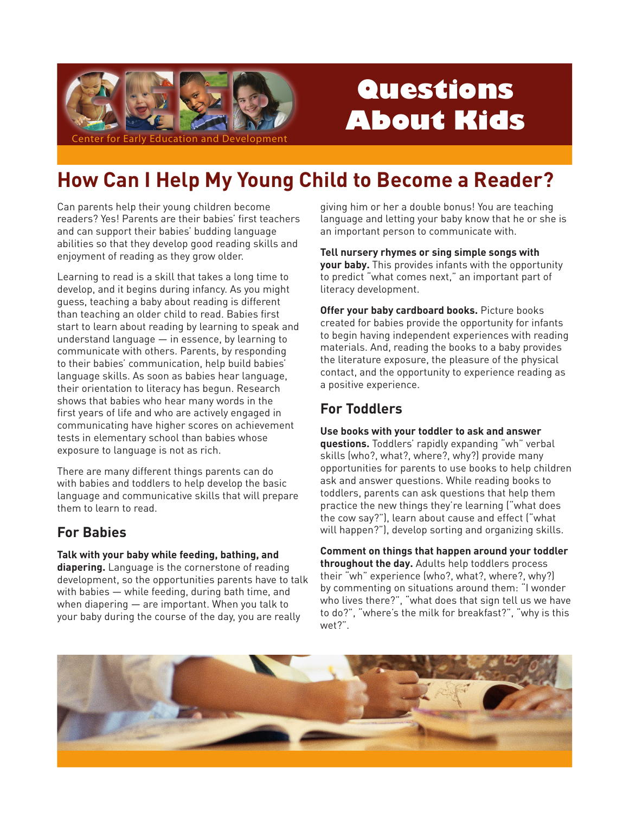

# Questions **About Kids**

## How Can I Help My Young Child to Become a Reader?

Can parents help their young children become readers? Yes! Parents are their babies' first teachers and can support their babies' budding language abilities so that they develop good reading skills and enjoyment of reading as they grow older.

Learning to read is a skill that takes a long time to develop, and it begins during infancy. As you might quess, teaching a baby about reading is different than teaching an older child to read. Babies first start to learn about reading by learning to speak and understand language  $-$  in essence, by learning to communicate with others. Parents, by responding to their babies' communication, help build babies' language skills. As soon as babies hear language, their orientation to literacy has begun. Research shows that babies who hear many words in the first years of life and who are actively engaged in communicating have higher scores on achievement tests in elementary school than babies whose exposure to language is not as rich.

There are many different things parents can do with babies and toddlers to help develop the basic language and communicative skills that will prepare them to learn to read.

## **For Babies**

Talk with your baby while feeding, bathing, and

diapering. Language is the cornerstone of reading development, so the opportunities parents have to talk with babies - while feeding, during bath time, and when diapering  $-$  are important. When you talk to your baby during the course of the day, you are really

giving him or her a double bonus! You are teaching language and letting your baby know that he or she is an important person to communicate with.

Tell nursery rhymes or sing simple songs with your baby. This provides infants with the opportunity to predict "what comes next," an important part of literacy development.

Offer your baby cardboard books. Picture books created for babies provide the opportunity for infants to begin having independent experiences with reading materials. And, reading the books to a baby provides the literature exposure, the pleasure of the physical contact, and the opportunity to experience reading as a positive experience.

## **For Toddlers**

Use books with your toddler to ask and answer questions. Toddlers' rapidly expanding "wh" verbal skills (who?, what?, where?, why?) provide many opportunities for parents to use books to help children ask and answer questions. While reading books to toddlers, parents can ask questions that help them practice the new things they're learning ("what does the cow say?"), learn about cause and effect ("what will happen?"), develop sorting and organizing skills.

Comment on things that happen around your toddler throughout the day. Adults help toddlers process their "wh" experience (who?, what?, where?, why?) by commenting on situations around them: "I wonder who lives there?", "what does that sign tell us we have to do?", "where's the milk for breakfast?", "why is this wet?".